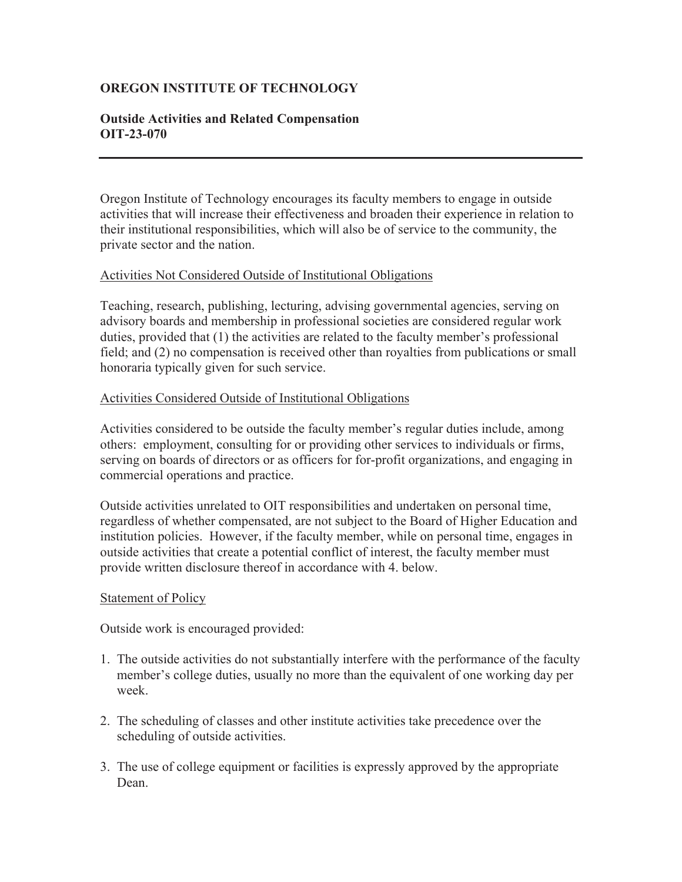# **OREGON INSTITUTE OF TECHNOLOGY**

## **Outside Activities and Related Compensation OIT-23-070**

Oregon Institute of Technology encourages its faculty members to engage in outside activities that will increase their effectiveness and broaden their experience in relation to their institutional responsibilities, which will also be of service to the community, the private sector and the nation.

### Activities Not Considered Outside of Institutional Obligations

Teaching, research, publishing, lecturing, advising governmental agencies, serving on advisory boards and membership in professional societies are considered regular work duties, provided that (1) the activities are related to the faculty member's professional field; and (2) no compensation is received other than royalties from publications or small honoraria typically given for such service.

#### Activities Considered Outside of Institutional Obligations

Activities considered to be outside the faculty member's regular duties include, among others: employment, consulting for or providing other services to individuals or firms, serving on boards of directors or as officers for for-profit organizations, and engaging in commercial operations and practice.

Outside activities unrelated to OIT responsibilities and undertaken on personal time, regardless of whether compensated, are not subject to the Board of Higher Education and institution policies. However, if the faculty member, while on personal time, engages in outside activities that create a potential conflict of interest, the faculty member must provide written disclosure thereof in accordance with 4. below.

#### Statement of Policy

Outside work is encouraged provided:

- 1. The outside activities do not substantially interfere with the performance of the faculty member's college duties, usually no more than the equivalent of one working day per week.
- 2. The scheduling of classes and other institute activities take precedence over the scheduling of outside activities.
- 3. The use of college equipment or facilities is expressly approved by the appropriate Dean.